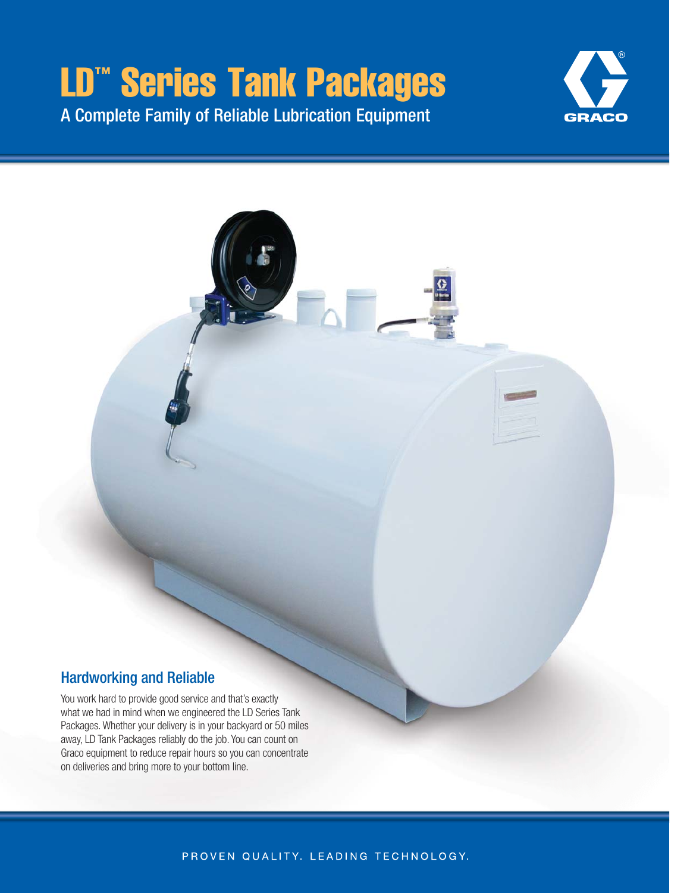# LD™ Series Tank Packages A Complete Family of Reliable Lubrication Equipment



### Hardworking and Reliable

You work hard to provide good service and that's exactly what we had in mind when we engineered the LD Series Tank Packages. Whether your delivery is in your backyard or 50 miles away, LD Tank Packages reliably do the job. You can count on Graco equipment to reduce repair hours so you can concentrate on deliveries and bring more to your bottom line.